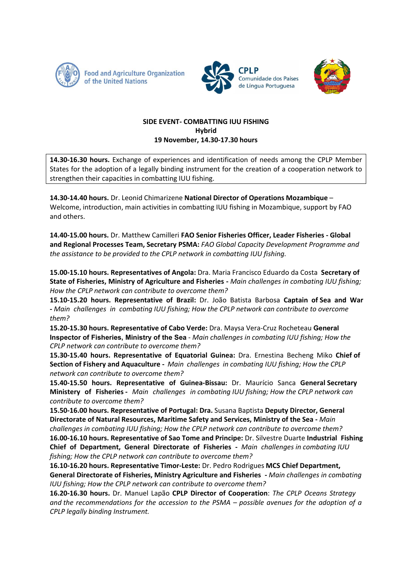





## SIDE EVENT- COMBATTING IUU FISHING **Hybrid** 19 November, 14.30-17.30 hours

14.30-16.30 hours. Exchange of experiences and identification of needs among the CPLP Member States for the adoption of a legally binding instrument for the creation of a cooperation network to strengthen their capacities in combatting IUU fishing.

14.30-14.40 hours. Dr. Leonid Chimarizene National Director of Operations Mozambique -Welcome, introduction, main activities in combatting IUU fishing in Mozambique, support by FAO and others.

14.40-15.00 hours. Dr. Matthew Camilleri FAO Senior Fisheries Officer, Leader Fisheries - Global and Regional Processes Team, Secretary PSMA: FAO Global Capacity Development Programme and the assistance to be provided to the CPLP network in combatting IUU fishing.

15.00-15.10 hours. Representatives of Angola: Dra. Maria Francisco Eduardo da Costa Secretary of State of Fisheries, Ministry of Agriculture and Fisheries - Main challenges in combating IUU fishing; How the CPLP network can contribute to overcome them?

15.10-15.20 hours. Representative of Brazil: Dr. João Batista Barbosa Captain of Sea and War - Main challenges in combating IUU fishing; How the CPLP network can contribute to overcome them?

15.20-15.30 hours. Representative of Cabo Verde: Dra. Maysa Vera-Cruz Rocheteau General Inspector of Fisheries, Ministry of the Sea - Main challenges in combating IUU fishing; How the CPLP network can contribute to overcome them?

15.30-15.40 hours. Representative of Equatorial Guinea: Dra. Ernestina Becheng Miko Chief of Section of Fishery and Aquaculture - Main challenges in combating IUU fishing; How the CPLP network can contribute to overcome them?

15.40-15.50 hours. Representative of Guinea-Bissau: Dr. Maurício Sanca General Secretary Ministery of Fisheries - Main challenges in combating IUU fishing; How the CPLP network can contribute to overcome them?

15.50-16.00 hours. Representative of Portugal: Dra. Susana Baptista Deputy Director, General Directorate of Natural Resources, Maritime Safety and Services, Ministry of the Sea - Main

challenges in combating IUU fishing; How the CPLP network can contribute to overcome them? 16.00-16.10 hours. Representative of Sao Tome and Principe: Dr. Silvestre Duarte Industrial Fishing Chief of Department, General Directorate of Fisheries - Main challenges in combating IUU fishing; How the CPLP network can contribute to overcome them?

16.10-16.20 hours. Representative Timor-Leste: Dr. Pedro Rodrigues MCS Chief Department, General Directorate of Fisheries, Ministry Agriculture and Fisheries - Main challenges in combating IUU fishing; How the CPLP network can contribute to overcome them?

16.20-16.30 hours. Dr. Manuel Lapão CPLP Director of Cooperation: The CPLP Oceans Strategy and the recommendations for the accession to the PSMA  $-$  possible avenues for the adoption of a CPLP legally binding Instrument.